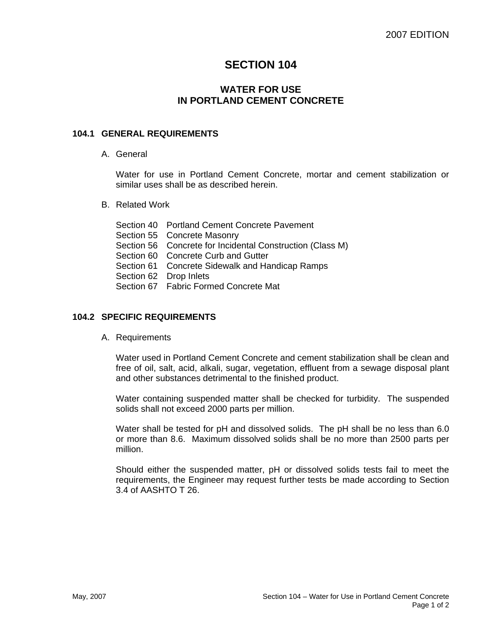# **SECTION 104**

## **WATER FOR USE IN PORTLAND CEMENT CONCRETE**

### **104.1 GENERAL REQUIREMENTS**

A. General

Water for use in Portland Cement Concrete, mortar and cement stabilization or similar uses shall be as described herein.

B. Related Work

| Section 40 Portland Cement Concrete Pavement              |
|-----------------------------------------------------------|
| Section 55 Concrete Masonry                               |
| Section 56 Concrete for Incidental Construction (Class M) |
| Section 60 Concrete Curb and Gutter                       |
| Section 61 Concrete Sidewalk and Handicap Ramps           |
| Section 62 Drop Inlets                                    |
| Section 67  Fabric Formed Concrete Mat                    |

### **104.2 SPECIFIC REQUIREMENTS**

A. Requirements

Water used in Portland Cement Concrete and cement stabilization shall be clean and free of oil, salt, acid, alkali, sugar, vegetation, effluent from a sewage disposal plant and other substances detrimental to the finished product.

Water containing suspended matter shall be checked for turbidity. The suspended solids shall not exceed 2000 parts per million.

Water shall be tested for pH and dissolved solids. The pH shall be no less than 6.0 or more than 8.6. Maximum dissolved solids shall be no more than 2500 parts per million.

Should either the suspended matter, pH or dissolved solids tests fail to meet the requirements, the Engineer may request further tests be made according to Section 3.4 of AASHTO T 26.